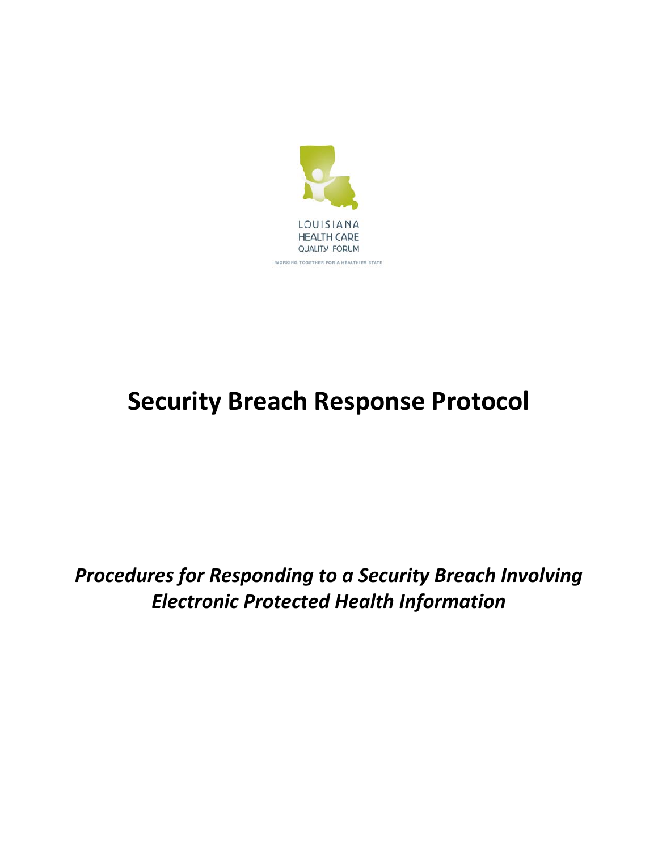

# **Security Breach Response Protocol**

*Procedures for Responding to a Security Breach Involving Electronic Protected Health Information*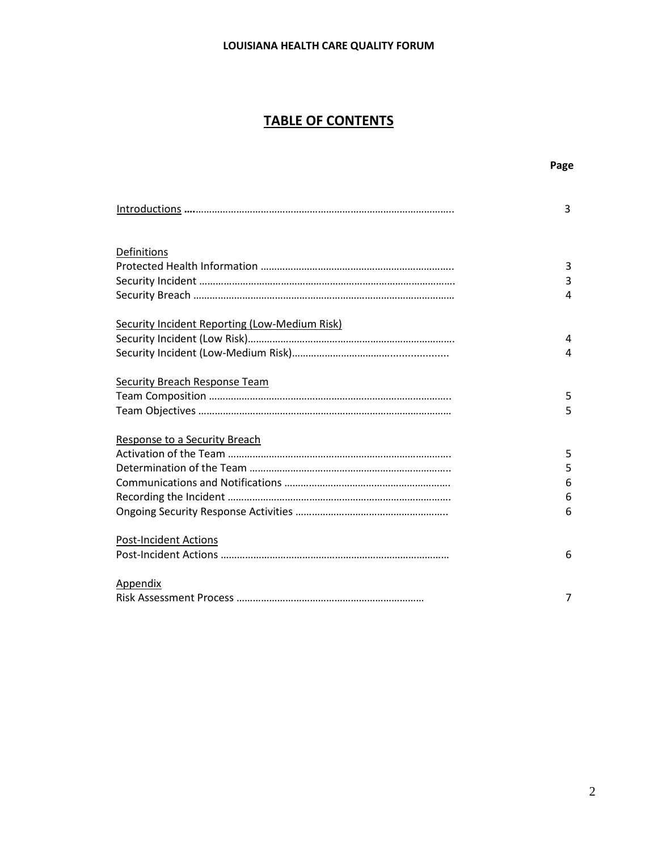## **TABLE OF CONTENTS**

#### **Page**

|                                                      | 3           |
|------------------------------------------------------|-------------|
| Definitions                                          | 3<br>3<br>4 |
| <b>Security Incident Reporting (Low-Medium Risk)</b> | 4           |
|                                                      | 4           |
| <b>Security Breach Response Team</b>                 | 5<br>5      |
| Response to a Security Breach                        |             |
|                                                      | 5           |
|                                                      | 5           |
|                                                      | 6<br>6      |
|                                                      | 6           |
| <b>Post-Incident Actions</b>                         | 6           |
| <b>Appendix</b>                                      | 7           |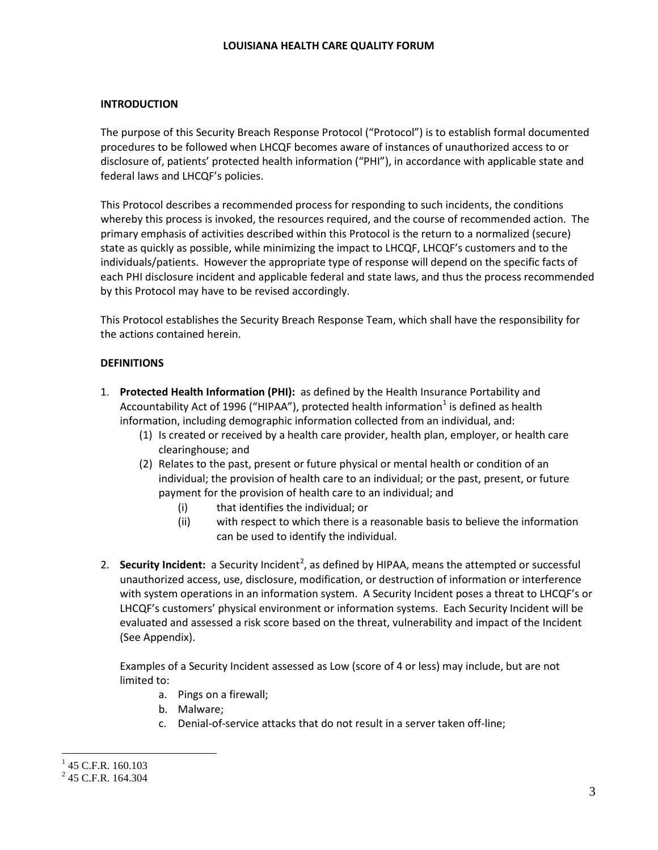#### **INTRODUCTION**

The purpose of this Security Breach Response Protocol ("Protocol") is to establish formal documented procedures to be followed when LHCQF becomes aware of instances of unauthorized access to or disclosure of, patients' protected health information ("PHI"), in accordance with applicable state and federal laws and LHCQF's policies.

This Protocol describes a recommended process for responding to such incidents, the conditions whereby this process is invoked, the resources required, and the course of recommended action. The primary emphasis of activities described within this Protocol is the return to a normalized (secure) state as quickly as possible, while minimizing the impact to LHCQF, LHCQF's customers and to the individuals/patients. However the appropriate type of response will depend on the specific facts of each PHI disclosure incident and applicable federal and state laws, and thus the process recommended by this Protocol may have to be revised accordingly.

This Protocol establishes the Security Breach Response Team, which shall have the responsibility for the actions contained herein.

#### **DEFINITIONS**

- 1. **Protected Health Information (PHI):** as defined by the Health Insurance Portability and Accountability Act of [1](#page-2-0)996 ("HIPAA"), protected health information<sup>1</sup> is defined as health information, including demographic information collected from an individual, and:
	- (1) Is created or received by a health care provider, health plan, employer, or health care clearinghouse; and
	- (2) Relates to the past, present or future physical or mental health or condition of an individual; the provision of health care to an individual; or the past, present, or future payment for the provision of health care to an individual; and
		- (i) that identifies the individual; or
		- (ii) with respect to which there is a reasonable basis to believe the information can be used to identify the individual.
- [2](#page-2-1). **Security Incident:** a Security Incident<sup>2</sup>, as defined by HIPAA, means the attempted or successful unauthorized access, use, disclosure, modification, or destruction of information or interference with system operations in an information system. A Security Incident poses a threat to LHCQF's or LHCQF's customers' physical environment or information systems. Each Security Incident will be evaluated and assessed a risk score based on the threat, vulnerability and impact of the Incident (See Appendix).

Examples of a Security Incident assessed as Low (score of 4 or less) may include, but are not limited to:

- a. Pings on a firewall;
- b. Malware;
- c. Denial-of-service attacks that do not result in a server taken off-line;

<span id="page-2-0"></span> $1$  45 C.F.R. 160.103

<span id="page-2-1"></span> $^{2}$  45 C.F.R. 164.304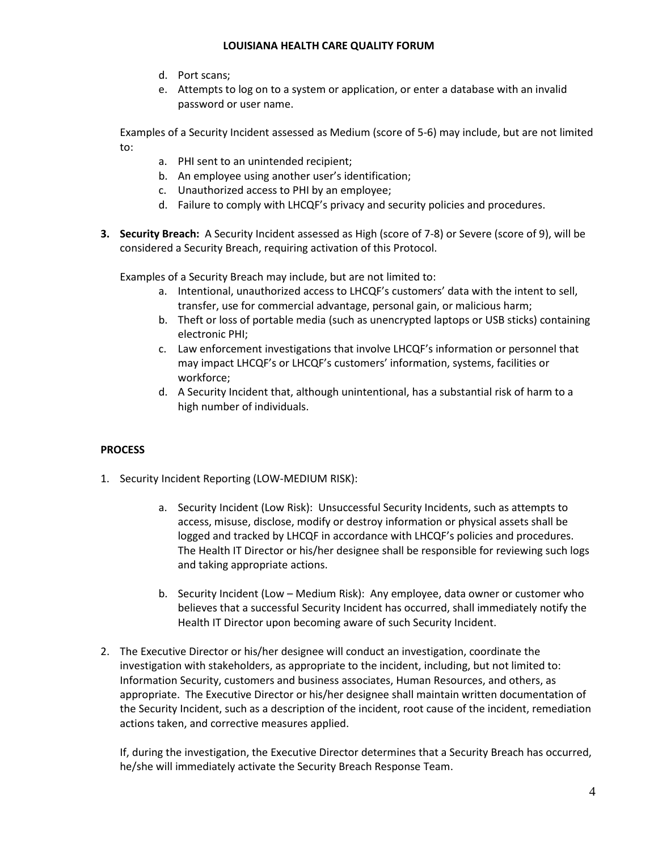- d. Port scans;
- e. Attempts to log on to a system or application, or enter a database with an invalid password or user name.

Examples of a Security Incident assessed as Medium (score of 5-6) may include, but are not limited to:

- a. PHI sent to an unintended recipient;
- b. An employee using another user's identification;
- c. Unauthorized access to PHI by an employee;
- d. Failure to comply with LHCQF's privacy and security policies and procedures.
- **3. Security Breach:** A Security Incident assessed as High (score of 7-8) or Severe (score of 9), will be considered a Security Breach, requiring activation of this Protocol.

Examples of a Security Breach may include, but are not limited to:

- a. Intentional, unauthorized access to LHCQF's customers' data with the intent to sell, transfer, use for commercial advantage, personal gain, or malicious harm;
- b. Theft or loss of portable media (such as unencrypted laptops or USB sticks) containing electronic PHI;
- c. Law enforcement investigations that involve LHCQF's information or personnel that may impact LHCQF's or LHCQF's customers' information, systems, facilities or workforce;
- d. A Security Incident that, although unintentional, has a substantial risk of harm to a high number of individuals.

#### **PROCESS**

- 1. Security Incident Reporting (LOW-MEDIUM RISK):
	- a. Security Incident (Low Risk):Unsuccessful Security Incidents, such as attempts to access, misuse, disclose, modify or destroy information or physical assets shall be logged and tracked by LHCQF in accordance with LHCQF's policies and procedures. The Health IT Director or his/her designee shall be responsible for reviewing such logs and taking appropriate actions.
	- b. Security Incident (Low Medium Risk):Any employee, data owner or customer who believes that a successful Security Incident has occurred, shall immediately notify the Health IT Director upon becoming aware of such Security Incident.
- 2. The Executive Director or his/her designee will conduct an investigation, coordinate the investigation with stakeholders, as appropriate to the incident, including, but not limited to: Information Security, customers and business associates, Human Resources, and others, as appropriate. The Executive Director or his/her designee shall maintain written documentation of the Security Incident, such as a description of the incident, root cause of the incident, remediation actions taken, and corrective measures applied.

If, during the investigation, the Executive Director determines that a Security Breach has occurred, he/she will immediately activate the Security Breach Response Team.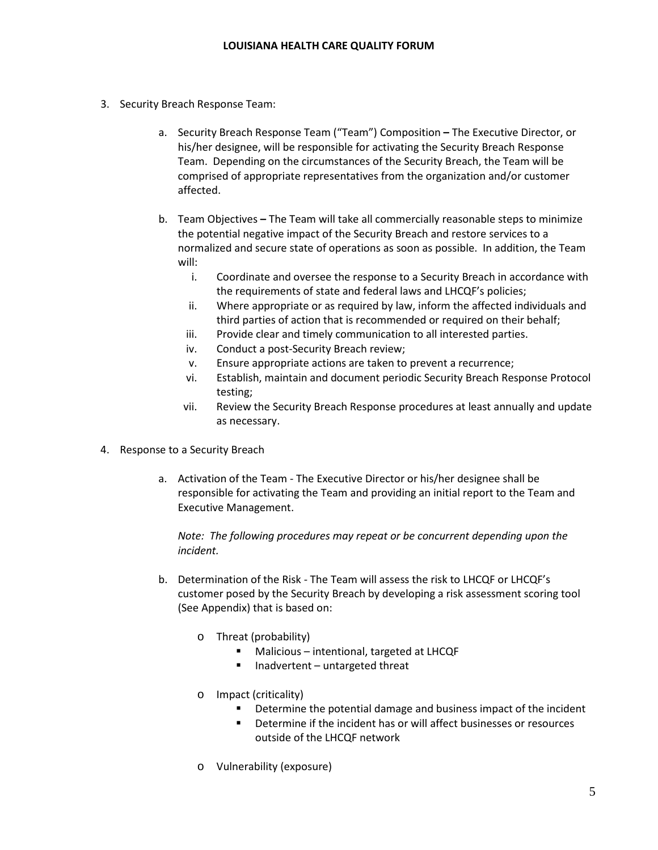- 3. Security Breach Response Team:
	- a. Security Breach Response Team ("Team") Composition **–** The Executive Director, or his/her designee, will be responsible for activating the Security Breach Response Team. Depending on the circumstances of the Security Breach, the Team will be comprised of appropriate representatives from the organization and/or customer affected.
	- b. Team Objectives **–** The Team will take all commercially reasonable steps to minimize the potential negative impact of the Security Breach and restore services to a normalized and secure state of operations as soon as possible. In addition, the Team will:
		- i. Coordinate and oversee the response to a Security Breach in accordance with the requirements of state and federal laws and LHCQF's policies;
		- ii. Where appropriate or as required by law, inform the affected individuals and third parties of action that is recommended or required on their behalf;
		- iii. Provide clear and timely communication to all interested parties.
		- iv. Conduct a post-Security Breach review;
		- v. Ensure appropriate actions are taken to prevent a recurrence;
		- vi. Establish, maintain and document periodic Security Breach Response Protocol testing;
		- vii. Review the Security Breach Response procedures at least annually and update as necessary.
- 4. Response to a Security Breach
	- a. Activation of the Team The Executive Director or his/her designee shall be responsible for activating the Team and providing an initial report to the Team and Executive Management.

*Note: The following procedures may repeat or be concurrent depending upon the incident.*

- b. Determination of the Risk The Team will assess the risk to LHCQF or LHCQF's customer posed by the Security Breach by developing a risk assessment scoring tool (See Appendix) that is based on:
	- o Threat (probability)
		- Malicious intentional, targeted at LHCQF
		- Inadvertent untargeted threat
	- o Impact (criticality)
		- Determine the potential damage and business impact of the incident
		- Determine if the incident has or will affect businesses or resources outside of the LHCQF network
	- o Vulnerability (exposure)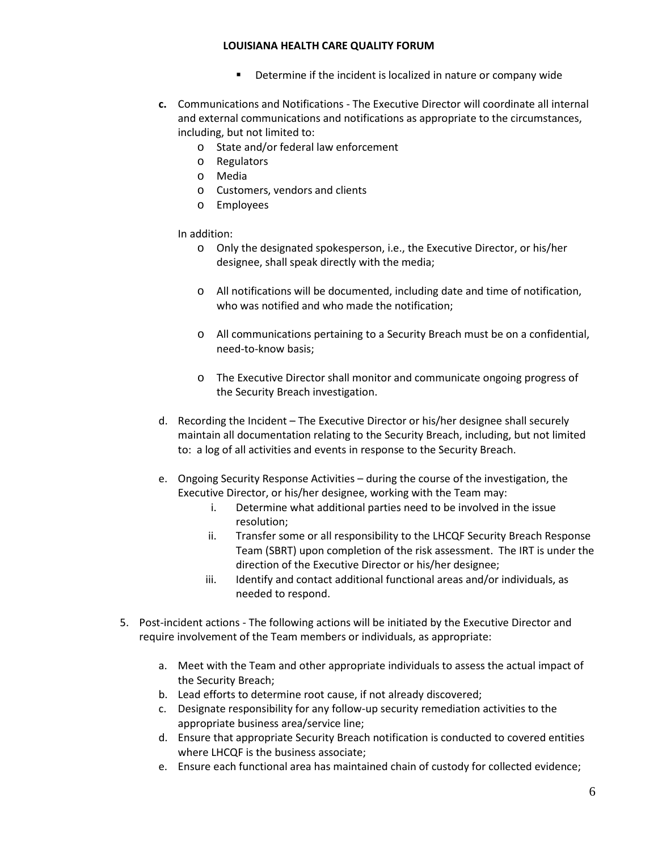- **•** Determine if the incident is localized in nature or company wide
- **c.** Communications and Notifications The Executive Director will coordinate all internal and external communications and notifications as appropriate to the circumstances, including, but not limited to:
	- o State and/or federal law enforcement
	- o Regulators
	- o Media
	- o Customers, vendors and clients
	- o Employees

In addition:

- o Only the designated spokesperson, i.e., the Executive Director, or his/her designee, shall speak directly with the media;
- o All notifications will be documented, including date and time of notification, who was notified and who made the notification;
- o All communications pertaining to a Security Breach must be on a confidential, need-to-know basis;
- o The Executive Director shall monitor and communicate ongoing progress of the Security Breach investigation.
- d. Recording the Incident The Executive Director or his/her designee shall securely maintain all documentation relating to the Security Breach, including, but not limited to: a log of all activities and events in response to the Security Breach.
- e. Ongoing Security Response Activities during the course of the investigation, the Executive Director, or his/her designee, working with the Team may:
	- i. Determine what additional parties need to be involved in the issue resolution;
	- ii. Transfer some or all responsibility to the LHCQF Security Breach Response Team (SBRT) upon completion of the risk assessment. The IRT is under the direction of the Executive Director or his/her designee;
	- iii. Identify and contact additional functional areas and/or individuals, as needed to respond.
- 5. Post-incident actions The following actions will be initiated by the Executive Director and require involvement of the Team members or individuals, as appropriate:
	- a. Meet with the Team and other appropriate individuals to assess the actual impact of the Security Breach;
	- b. Lead efforts to determine root cause, if not already discovered;
	- c. Designate responsibility for any follow-up security remediation activities to the appropriate business area/service line;
	- d. Ensure that appropriate Security Breach notification is conducted to covered entities where LHCQF is the business associate;
	- e. Ensure each functional area has maintained chain of custody for collected evidence;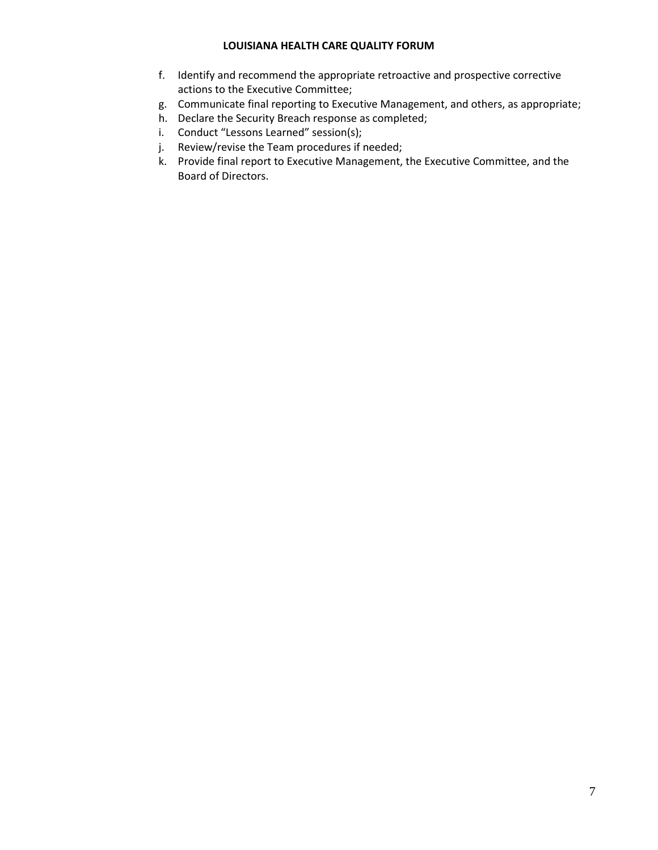- f. Identify and recommend the appropriate retroactive and prospective corrective actions to the Executive Committee;
- g. Communicate final reporting to Executive Management, and others, as appropriate;
- h. Declare the Security Breach response as completed;
- i. Conduct "Lessons Learned" session(s);
- j. Review/revise the Team procedures if needed;
- k. Provide final report to Executive Management, the Executive Committee, and the Board of Directors.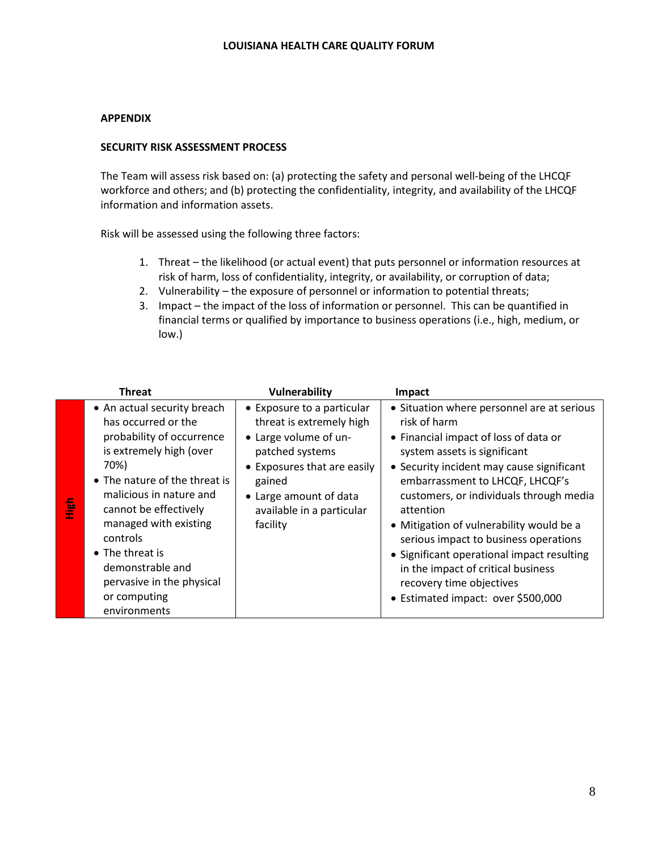#### **APPENDIX**

#### **SECURITY RISK ASSESSMENT PROCESS**

The Team will assess risk based on: (a) protecting the safety and personal well-being of the LHCQF workforce and others; and (b) protecting the confidentiality, integrity, and availability of the LHCQF information and information assets.

Risk will be assessed using the following three factors:

- 1. Threat the likelihood (or actual event) that puts personnel or information resources at risk of harm, loss of confidentiality, integrity, or availability, or corruption of data;
- 2. Vulnerability the exposure of personnel or information to potential threats;
- 3. Impact the impact of the loss of information or personnel. This can be quantified in financial terms or qualified by importance to business operations (i.e., high, medium, or low.)

| Threat                                                                                                                                                                                                                                                                                                                                                      | Vulnerability                                                                                                                                                                                                  | Impact                                                                                                                                                                                                                                                                                                                                                                                                                                                                                                                 |
|-------------------------------------------------------------------------------------------------------------------------------------------------------------------------------------------------------------------------------------------------------------------------------------------------------------------------------------------------------------|----------------------------------------------------------------------------------------------------------------------------------------------------------------------------------------------------------------|------------------------------------------------------------------------------------------------------------------------------------------------------------------------------------------------------------------------------------------------------------------------------------------------------------------------------------------------------------------------------------------------------------------------------------------------------------------------------------------------------------------------|
| • An actual security breach<br>has occurred or the<br>probability of occurrence<br>is extremely high (over<br>70%)<br>• The nature of the threat is<br>malicious in nature and<br>ia<br>E<br>cannot be effectively<br>managed with existing<br>controls<br>• The threat is<br>demonstrable and<br>pervasive in the physical<br>or computing<br>environments | • Exposure to a particular<br>threat is extremely high<br>• Large volume of un-<br>patched systems<br>• Exposures that are easily<br>gained<br>• Large amount of data<br>available in a particular<br>facility | • Situation where personnel are at serious<br>risk of harm<br>• Financial impact of loss of data or<br>system assets is significant<br>• Security incident may cause significant<br>embarrassment to LHCQF, LHCQF's<br>customers, or individuals through media<br>attention<br>• Mitigation of vulnerability would be a<br>serious impact to business operations<br>• Significant operational impact resulting<br>in the impact of critical business<br>recovery time objectives<br>• Estimated impact: over \$500,000 |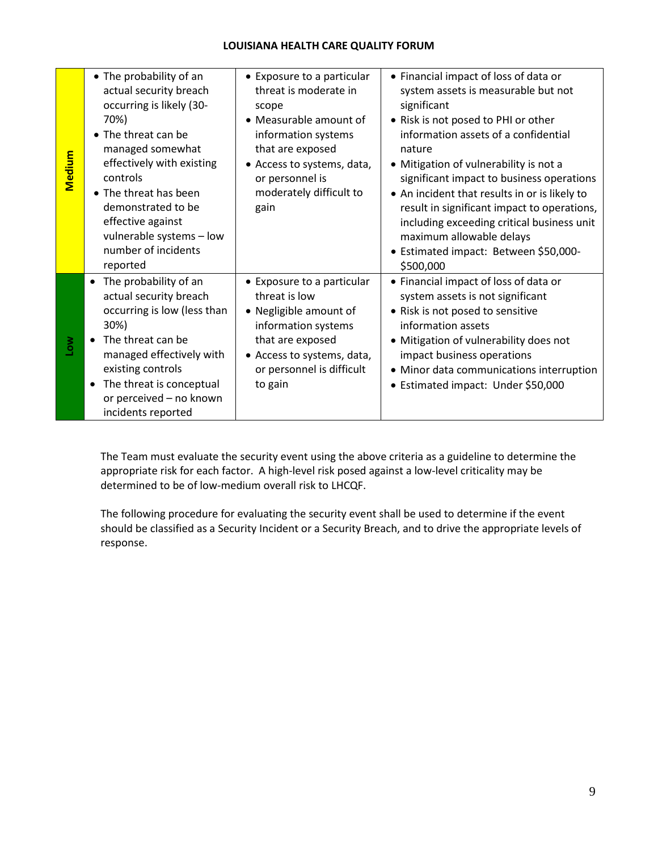| Medium | • The probability of an<br>actual security breach<br>occurring is likely (30-<br>70%)<br>• The threat can be<br>managed somewhat<br>effectively with existing<br>controls<br>• The threat has been<br>demonstrated to be<br>effective against<br>vulnerable systems - low<br>number of incidents<br>reported | • Exposure to a particular<br>threat is moderate in<br>scope<br>• Measurable amount of<br>information systems<br>that are exposed<br>• Access to systems, data,<br>or personnel is<br>moderately difficult to<br>gain | • Financial impact of loss of data or<br>system assets is measurable but not<br>significant<br>• Risk is not posed to PHI or other<br>information assets of a confidential<br>nature<br>• Mitigation of vulnerability is not a<br>significant impact to business operations<br>• An incident that results in or is likely to<br>result in significant impact to operations,<br>including exceeding critical business unit<br>maximum allowable delays<br>· Estimated impact: Between \$50,000-<br>\$500,000 |
|--------|--------------------------------------------------------------------------------------------------------------------------------------------------------------------------------------------------------------------------------------------------------------------------------------------------------------|-----------------------------------------------------------------------------------------------------------------------------------------------------------------------------------------------------------------------|-------------------------------------------------------------------------------------------------------------------------------------------------------------------------------------------------------------------------------------------------------------------------------------------------------------------------------------------------------------------------------------------------------------------------------------------------------------------------------------------------------------|
| Low    | The probability of an<br>$\bullet$<br>actual security breach<br>occurring is low (less than<br>30%)<br>The threat can be<br>managed effectively with<br>existing controls<br>The threat is conceptual<br>or perceived - no known<br>incidents reported                                                       | • Exposure to a particular<br>threat is low<br>• Negligible amount of<br>information systems<br>that are exposed<br>• Access to systems, data,<br>or personnel is difficult<br>to gain                                | • Financial impact of loss of data or<br>system assets is not significant<br>• Risk is not posed to sensitive<br>information assets<br>• Mitigation of vulnerability does not<br>impact business operations<br>• Minor data communications interruption<br>• Estimated impact: Under \$50,000                                                                                                                                                                                                               |

The Team must evaluate the security event using the above criteria as a guideline to determine the appropriate risk for each factor. A high-level risk posed against a low-level criticality may be determined to be of low-medium overall risk to LHCQF.

The following procedure for evaluating the security event shall be used to determine if the event should be classified as a Security Incident or a Security Breach, and to drive the appropriate levels of response.